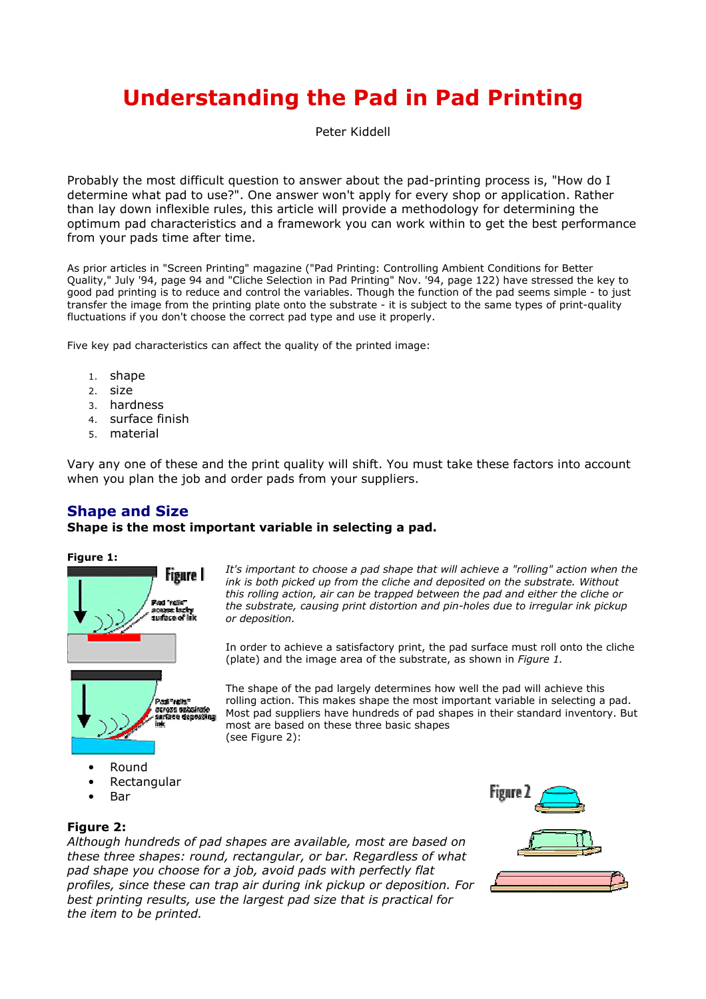# **Understanding the Pad in Pad Printing**

Peter Kiddell

Probably the most difficult question to answer about the pad-printing process is, "How do I determine what pad to use?". One answer won't apply for every shop or application. Rather than lay down inflexible rules, this article will provide a methodology for determining the optimum pad characteristics and a framework you can work within to get the best performance from your pads time after time.

As prior articles in "Screen Printing" magazine ("Pad Printing: Controlling Ambient Conditions for Better Quality," July '94, page 94 and "Cliche Selection in Pad Printing" Nov. '94, page 122) have stressed the key to good pad printing is to reduce and control the variables. Though the function of the pad seems simple - to just transfer the image from the printing plate onto the substrate - it is subject to the same types of print-quality fluctuations if you don't choose the correct pad type and use it properly.

Five key pad characteristics can affect the quality of the printed image:

- 1. shape
- 2. size
- 3. hardness
- 4. surface finish
- 5. material

Vary any one of these and the print quality will shift. You must take these factors into account when you plan the job and order pads from your suppliers.

## **Shape and Size**

#### Shape is the most important variable in selecting a pad.

#### Figure 1:



It's important to choose a pad shape that will achieve a "rolling" action when the ink is both picked up from the cliche and deposited on the substrate. Without this rolling action, air can be trapped between the pad and either the cliche or the substrate, causing print distortion and pin-holes due to irregular ink pickup or deposition.

In order to achieve a satisfactory print, the pad surface must roll onto the cliche (plate) and the image area of the substrate, as shown in Figure 1.

The shape of the pad largely determines how well the pad will achieve this rolling action. This makes shape the most important variable in selecting a pad. Most pad suppliers have hundreds of pad shapes in their standard inventory. But most are based on these three basic shapes (see Figure 2):

- Round  $\bullet$
- Rectangular
- Bar



#### **Figure 2:**

Although hundreds of pad shapes are available, most are based on these three shapes: round, rectangular, or bar, Regardless of what pad shape you choose for a job, avoid pads with perfectly flat profiles, since these can trap air during ink pickup or deposition. For best printing results, use the largest pad size that is practical for the item to be printed.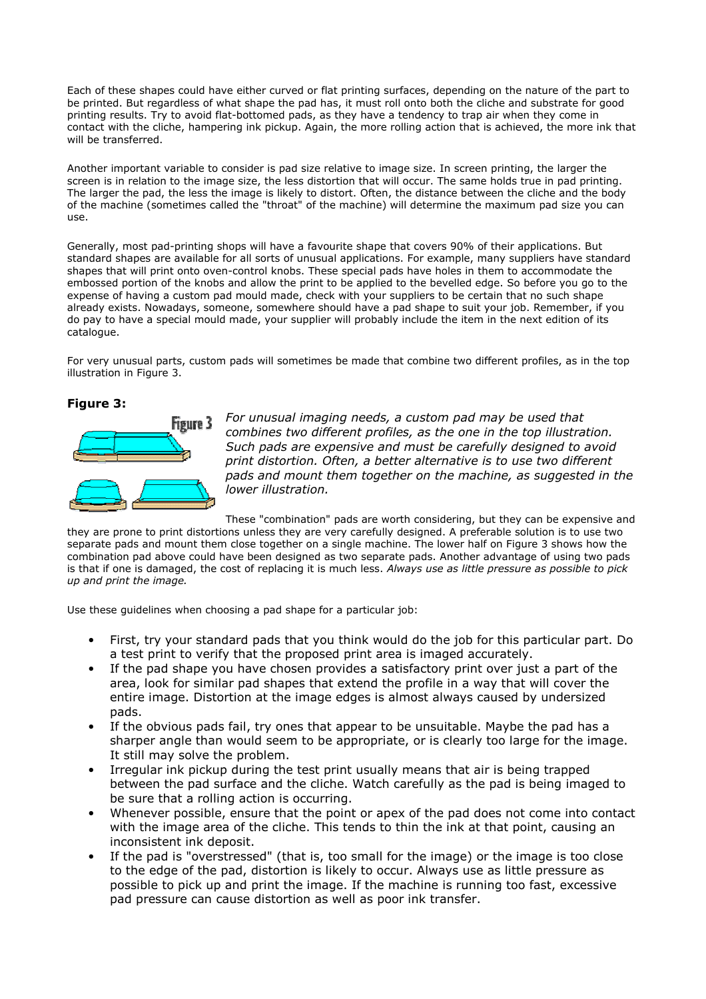Each of these shapes could have either curved or flat printing surfaces, depending on the nature of the part to be printed. But regardless of what shape the pad has, it must roll onto both the cliche and substrate for good printing results. Try to avoid flat-bottomed pads, as they have a tendency to trap air when they come in contact with the cliche, hampering ink pickup. Again, the more rolling action that is achieved, the more ink that will be transferred.

Another important variable to consider is pad size relative to image size. In screen printing, the larger the screen is in relation to the image size, the less distortion that will occur. The same holds true in pad printing. The larger the pad, the less the image is likely to distort. Often, the distance between the cliche and the body of the machine (sometimes called the "throat" of the machine) will determine the maximum pad size you can **LISA** 

Generally, most pad-printing shops will have a favourite shape that covers 90% of their applications. But standard shapes are available for all sorts of unusual applications. For example, many suppliers have standard shapes that will print onto oven-control knobs. These special pads have holes in them to accommodate the embossed portion of the knobs and allow the print to be applied to the bevelled edge. So before you go to the expense of having a custom pad mould made, check with your suppliers to be certain that no such shape already exists. Nowadays, someone, somewhere should have a pad shape to suit your job. Remember, if you do pay to have a special mould made, your supplier will probably include the item in the next edition of its catalogue.

For very unusual parts, custom pads will sometimes be made that combine two different profiles, as in the top illustration in Figure 3.

#### Figure 3:



For unusual imaging needs, a custom pad may be used that combines two different profiles, as the one in the top illustration. Such pads are expensive and must be carefully designed to avoid print distortion. Often, a better alternative is to use two different pads and mount them together on the machine, as suggested in the lower illustration.

These "combination" pads are worth considering, but they can be expensive and

they are prone to print distortions unless they are very carefully designed. A preferable solution is to use two separate pads and mount them close together on a single machine. The lower half on Figure 3 shows how the combination pad above could have been designed as two separate pads. Another advantage of using two pads is that if one is damaged, the cost of replacing it is much less. Always use as little pressure as possible to pick up and print the image.

Use these quidelines when choosing a pad shape for a particular job:

- $\bullet$ First, try your standard pads that you think would do the job for this particular part. Do a test print to verify that the proposed print area is imaged accurately.
- If the pad shape you have chosen provides a satisfactory print over just a part of the area, look for similar pad shapes that extend the profile in a way that will cover the entire image. Distortion at the image edges is almost always caused by undersized pads.
- If the obvious pads fail, try ones that appear to be unsuitable. Maybe the pad has a sharper angle than would seem to be appropriate, or is clearly too large for the image. It still may solve the problem.
- Irregular ink pickup during the test print usually means that air is being trapped between the pad surface and the cliche. Watch carefully as the pad is being imaged to be sure that a rolling action is occurring.
- Whenever possible, ensure that the point or apex of the pad does not come into contact  $\bullet$ with the image area of the cliche. This tends to thin the ink at that point, causing an inconsistent ink deposit.
- If the pad is "overstressed" (that is, too small for the image) or the image is too close to the edge of the pad, distortion is likely to occur. Always use as little pressure as possible to pick up and print the image. If the machine is running too fast, excessive pad pressure can cause distortion as well as poor ink transfer.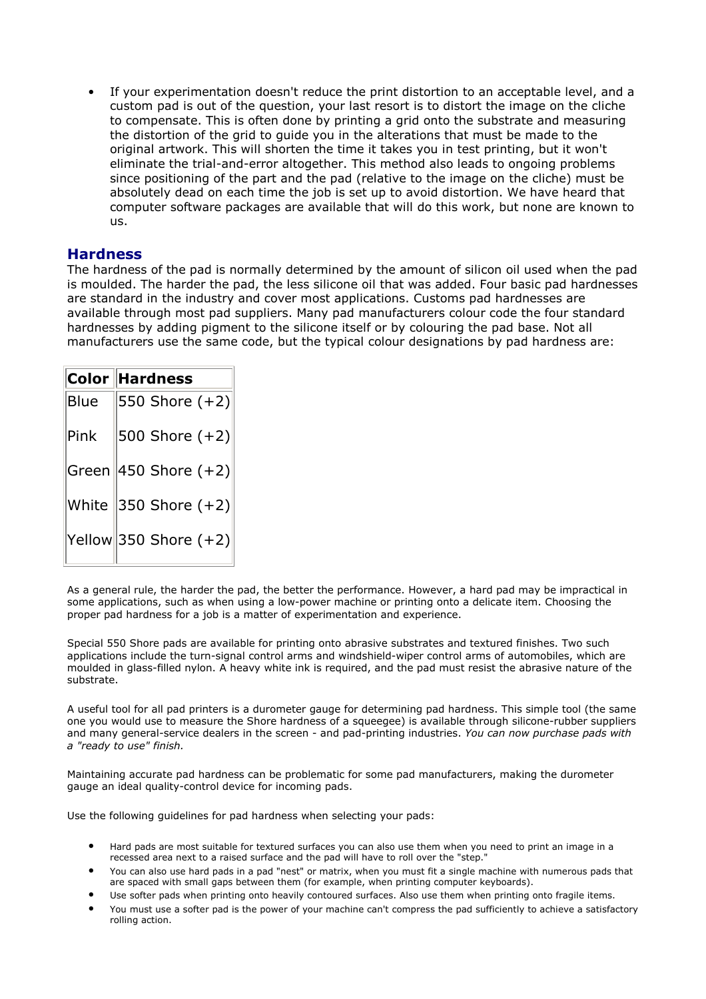If your experimentation doesn't reduce the print distortion to an acceptable level, and a custom pad is out of the question, your last resort is to distort the image on the cliche to compensate. This is often done by printing a grid onto the substrate and measuring the distortion of the grid to guide you in the alterations that must be made to the original artwork. This will shorten the time it takes you in test printing, but it won't eliminate the trial-and-error altogether. This method also leads to ongoing problems since positioning of the part and the pad (relative to the image on the cliche) must be absolutely dead on each time the job is set up to avoid distortion. We have heard that computer software packages are available that will do this work, but none are known to us.

## **Hardness**

The hardness of the pad is normally determined by the amount of silicon oil used when the pad is moulded. The harder the pad, the less silicone oil that was added. Four basic pad hardnesses are standard in the industry and cover most applications. Customs pad hardnesses are available through most pad suppliers. Many pad manufacturers colour code the four standard hardnesses by adding pigment to the silicone itself or by colouring the pad base. Not all manufacturers use the same code, but the typical colour designations by pad hardness are:

|                 | Color Hardness               |
|-----------------|------------------------------|
| Blue            | 550 Shore $(+2)$             |
| $\mathsf{Pink}$ | $\vert$ 500 Shore (+2)       |
|                 | $ $ Green $ $ 450 Shore (+2) |
|                 | White $ 350$ Shore $(+2) $   |
|                 | Yellow 350 Shore $(+2)$      |

As a general rule, the harder the pad, the better the performance. However, a hard pad may be impractical in some applications, such as when using a low-power machine or printing onto a delicate item. Choosing the proper pad hardness for a job is a matter of experimentation and experience.

Special 550 Shore pads are available for printing onto abrasive substrates and textured finishes. Two such applications include the turn-signal control arms and windshield-wiper control arms of automobiles, which are moulded in glass-filled nylon. A heavy white ink is required, and the pad must resist the abrasive nature of the substrate.

A useful tool for all pad printers is a durometer gauge for determining pad hardness. This simple tool (the same one you would use to measure the Shore hardness of a squeeqee) is available through silicone-rubber suppliers and many general-service dealers in the screen - and pad-printing industries. You can now purchase pads with a "ready to use" finish.

Maintaining accurate pad hardness can be problematic for some pad manufacturers, making the durometer gauge an ideal quality-control device for incoming pads.

Use the following quidelines for pad hardness when selecting your pads:

- Hard pads are most suitable for textured surfaces you can also use them when you need to print an image in a recessed area next to a raised surface and the pad will have to roll over the "step."
- You can also use hard pads in a pad "nest" or matrix, when you must fit a single machine with numerous pads that are spaced with small gaps between them (for example, when printing computer keyboards).
- Use softer pads when printing onto heavily contoured surfaces. Also use them when printing onto fragile items.
- You must use a softer pad is the power of your machine can't compress the pad sufficiently to achieve a satisfactory rolling action.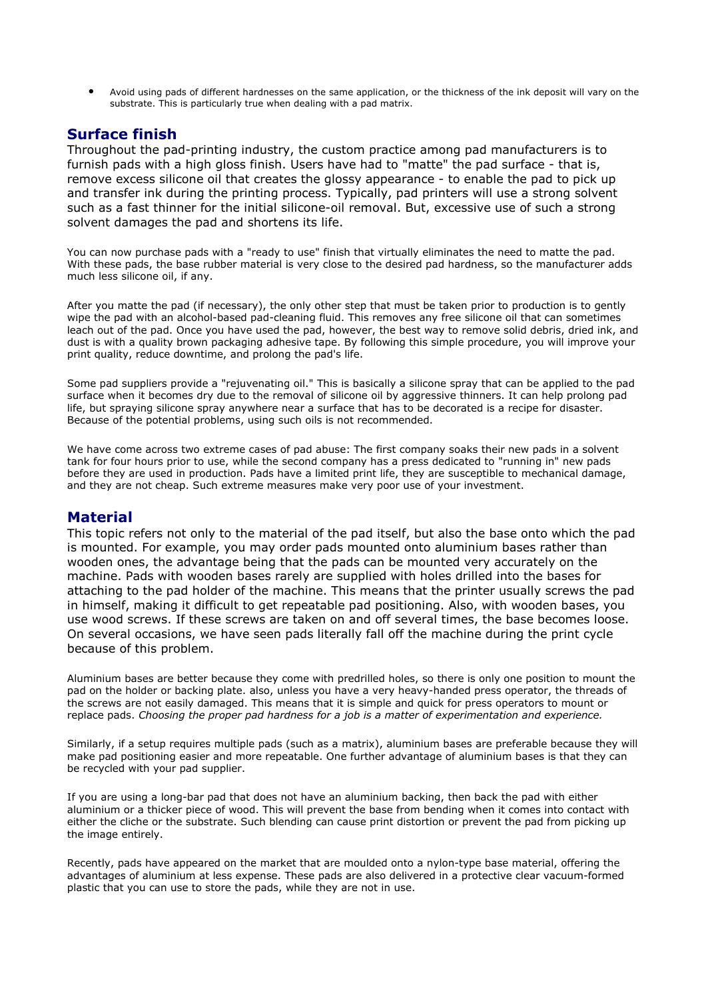Avoid using pads of different hardnesses on the same application, or the thickness of the ink deposit will vary on the substrate. This is particularly true when dealing with a pad matrix.

# **Surface finish**

Throughout the pad-printing industry, the custom practice among pad manufacturers is to furnish pads with a high gloss finish. Users have had to "matte" the pad surface - that is, remove excess silicone oil that creates the glossy appearance - to enable the pad to pick up and transfer ink during the printing process. Typically, pad printers will use a strong solvent such as a fast thinner for the initial silicone-oil removal. But, excessive use of such a strong solvent damages the pad and shortens its life.

You can now purchase pads with a "ready to use" finish that virtually eliminates the need to matte the pad. With these pads, the base rubber material is very close to the desired pad hardness, so the manufacturer adds much less silicone oil, if any.

After you matte the pad (if necessary), the only other step that must be taken prior to production is to gently wipe the pad with an alcohol-based pad-cleaning fluid. This removes any free silicone oil that can sometimes leach out of the pad. Once you have used the pad, however, the best way to remove solid debris, dried ink, and dust is with a quality brown packaging adhesive tape. By following this simple procedure, you will improve your print quality, reduce downtime, and prolong the pad's life.

Some pad suppliers provide a "rejuvenating oil." This is basically a silicone spray that can be applied to the pad surface when it becomes dry due to the removal of silicone oil by aggressive thinners. It can help prolong pad life, but spraying silicone spray anywhere near a surface that has to be decorated is a recipe for disaster. Because of the potential problems, using such oils is not recommended.

We have come across two extreme cases of pad abuse: The first company soaks their new pads in a solvent tank for four hours prior to use, while the second company has a press dedicated to "running in" new pads before they are used in production. Pads have a limited print life, they are susceptible to mechanical damage, and they are not cheap. Such extreme measures make very poor use of your investment.

#### **Material**

This topic refers not only to the material of the pad itself, but also the base onto which the pad is mounted. For example, you may order pads mounted onto aluminium bases rather than wooden ones, the advantage being that the pads can be mounted very accurately on the machine. Pads with wooden bases rarely are supplied with holes drilled into the bases for attaching to the pad holder of the machine. This means that the printer usually screws the pad in himself, making it difficult to get repeatable pad positioning. Also, with wooden bases, you use wood screws. If these screws are taken on and off several times, the base becomes loose. On several occasions, we have seen pads literally fall off the machine during the print cycle because of this problem.

Aluminium bases are better because they come with predrilled holes, so there is only one position to mount the pad on the holder or backing plate. also, unless you have a very heavy-handed press operator, the threads of the screws are not easily damaged. This means that it is simple and quick for press operators to mount or replace pads. Choosing the proper pad hardness for a job is a matter of experimentation and experience.

Similarly, if a setup requires multiple pads (such as a matrix), aluminium bases are preferable because they will make pad positioning easier and more repeatable. One further advantage of aluminium bases is that they can be recycled with your pad supplier.

If you are using a long-bar pad that does not have an aluminium backing, then back the pad with either aluminium or a thicker piece of wood. This will prevent the base from bending when it comes into contact with either the cliche or the substrate. Such blending can cause print distortion or prevent the pad from picking up the image entirely.

Recently, pads have appeared on the market that are moulded onto a nylon-type base material, offering the advantages of aluminium at less expense. These pads are also delivered in a protective clear vacuum-formed plastic that you can use to store the pads, while they are not in use.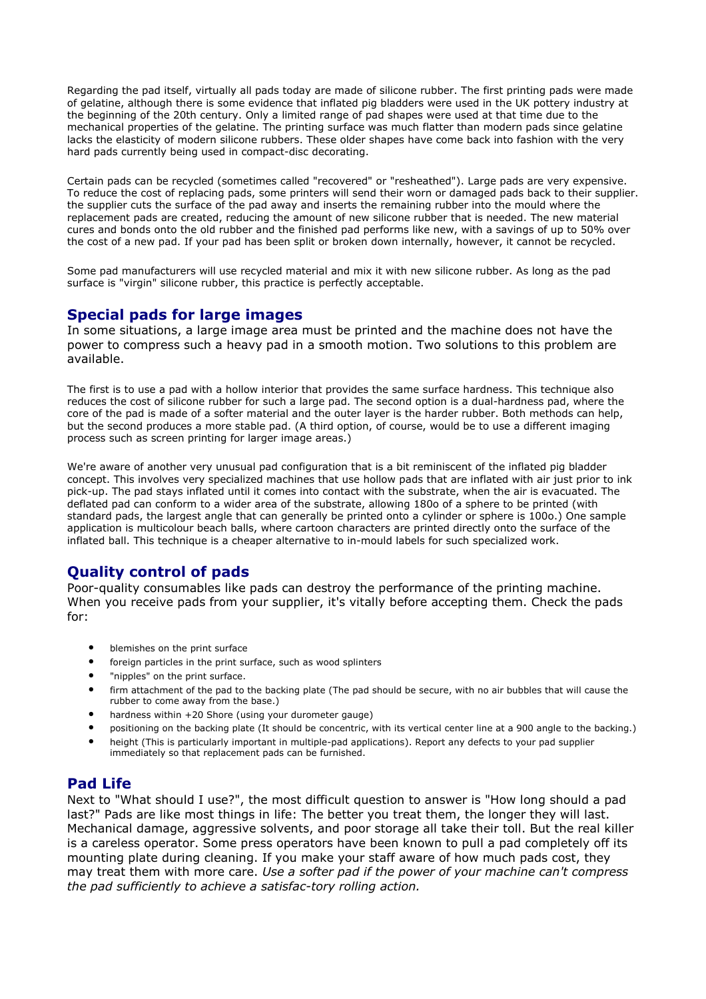Regarding the pad itself, virtually all pads today are made of silicone rubber. The first printing pads were made of gelatine, although there is some evidence that inflated pig bladders were used in the UK pottery industry at the beginning of the 20th century. Only a limited range of pad shapes were used at that time due to the mechanical properties of the gelatine. The printing surface was much flatter than modern pads since gelatine lacks the elasticity of modern silicone rubbers. These older shapes have come back into fashion with the very hard pads currently being used in compact-disc decorating.

Certain pads can be recycled (sometimes called "recovered" or "resheathed"). Large pads are very expensive. To reduce the cost of replacing pads, some printers will send their worn or damaged pads back to their supplier. the supplier cuts the surface of the pad away and inserts the remaining rubber into the mould where the replacement pads are created, reducing the amount of new silicone rubber that is needed. The new material cures and bonds onto the old rubber and the finished pad performs like new, with a savings of up to 50% over the cost of a new pad. If your pad has been split or broken down internally, however, it cannot be recycled.

Some pad manufacturers will use recycled material and mix it with new silicone rubber. As long as the pad surface is "virgin" silicone rubber, this practice is perfectly acceptable.

## **Special pads for large images**

In some situations, a large image area must be printed and the machine does not have the power to compress such a heavy pad in a smooth motion. Two solutions to this problem are available.

The first is to use a pad with a hollow interior that provides the same surface hardness. This technique also reduces the cost of silicone rubber for such a large pad. The second option is a dual-hardness pad, where the core of the pad is made of a softer material and the outer laver is the harder rubber. Both methods can help, but the second produces a more stable pad. (A third option, of course, would be to use a different imaging process such as screen printing for larger image areas.)

We're aware of another very unusual pad configuration that is a bit reminiscent of the inflated pig bladder concept. This involves very specialized machines that use hollow pads that are inflated with air just prior to ink pick-up. The pad stays inflated until it comes into contact with the substrate, when the air is evacuated. The deflated pad can conform to a wider area of the substrate, allowing 180o of a sphere to be printed (with standard pads, the largest angle that can generally be printed onto a cylinder or sphere is 1000.) One sample application is multicolour beach balls, where cartoon characters are printed directly onto the surface of the inflated ball. This technique is a cheaper alternative to in-mould labels for such specialized work.

# **Ouality control of pads**

Poor-quality consumables like pads can destroy the performance of the printing machine. When you receive pads from your supplier, it's vitally before accepting them. Check the pads for:

- $\bullet$ blemishes on the print surface
- $\blacksquare$ foreign particles in the print surface, such as wood splinters
- $\bullet$ "nipples" on the print surface.
- firm attachment of the pad to the backing plate (The pad should be secure, with no air bubbles that will cause the  $\bullet$ rubber to come away from the base.)
- $\bullet$ hardness within +20 Shore (using your durometer gauge)
- $\bullet$ positioning on the backing plate (It should be concentric, with its vertical center line at a 900 angle to the backing.)
- $\bullet$ height (This is particularly important in multiple-pad applications). Report any defects to your pad supplier immediately so that replacement pads can be furnished.

## **Pad Life**

Next to "What should I use?", the most difficult question to answer is "How long should a pad last?" Pads are like most things in life: The better you treat them, the longer they will last. Mechanical damage, aggressive solvents, and poor storage all take their toll. But the real killer is a careless operator. Some press operators have been known to pull a pad completely off its mounting plate during cleaning. If you make your staff aware of how much pads cost, they may treat them with more care. Use a softer pad if the power of your machine can't compress the pad sufficiently to achieve a satisfac-tory rolling action.